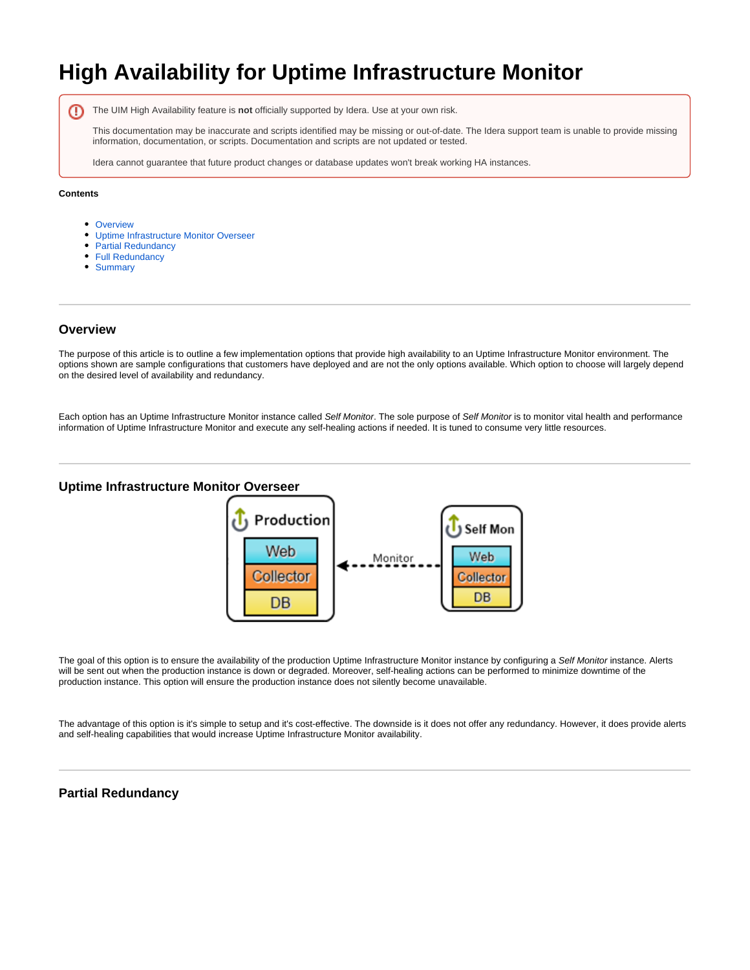# **High Availability for Uptime Infrastructure Monitor**

The UIM High Availability feature is **not** officially supported by Idera. Use at your own risk. ന

This documentation may be inaccurate and scripts identified may be missing or out-of-date. The Idera support team is unable to provide missing information, documentation, or scripts. Documentation and scripts are not updated or tested.

Idera cannot guarantee that future product changes or database updates won't break working HA instances.

#### **Contents**

- [Overview](#page-0-0)
- [Uptime Infrastructure Monitor Overseer](#page-0-1)
- [Partial Redundancy](#page-0-2)
- [Full Redundancy](#page-1-0)
- [Summary](#page-2-0)

### <span id="page-0-0"></span>**Overview**

The purpose of this article is to outline a few implementation options that provide high availability to an Uptime Infrastructure Monitor environment. The options shown are sample configurations that customers have deployed and are not the only options available. Which option to choose will largely depend on the desired level of availability and redundancy.

Each option has an Uptime Infrastructure Monitor instance called Self Monitor. The sole purpose of Self Monitor is to monitor vital health and performance information of Uptime Infrastructure Monitor and execute any self-healing actions if needed. It is tuned to consume very little resources.

#### <span id="page-0-1"></span>**Uptime Infrastructure Monitor Overseer**



The goal of this option is to ensure the availability of the production Uptime Infrastructure Monitor instance by configuring a Self Monitor instance. Alerts will be sent out when the production instance is down or degraded. Moreover, self-healing actions can be performed to minimize downtime of the production instance. This option will ensure the production instance does not silently become unavailable.

The advantage of this option is it's simple to setup and it's cost-effective. The downside is it does not offer any redundancy. However, it does provide alerts and self-healing capabilities that would increase Uptime Infrastructure Monitor availability.

## <span id="page-0-2"></span>**Partial Redundancy**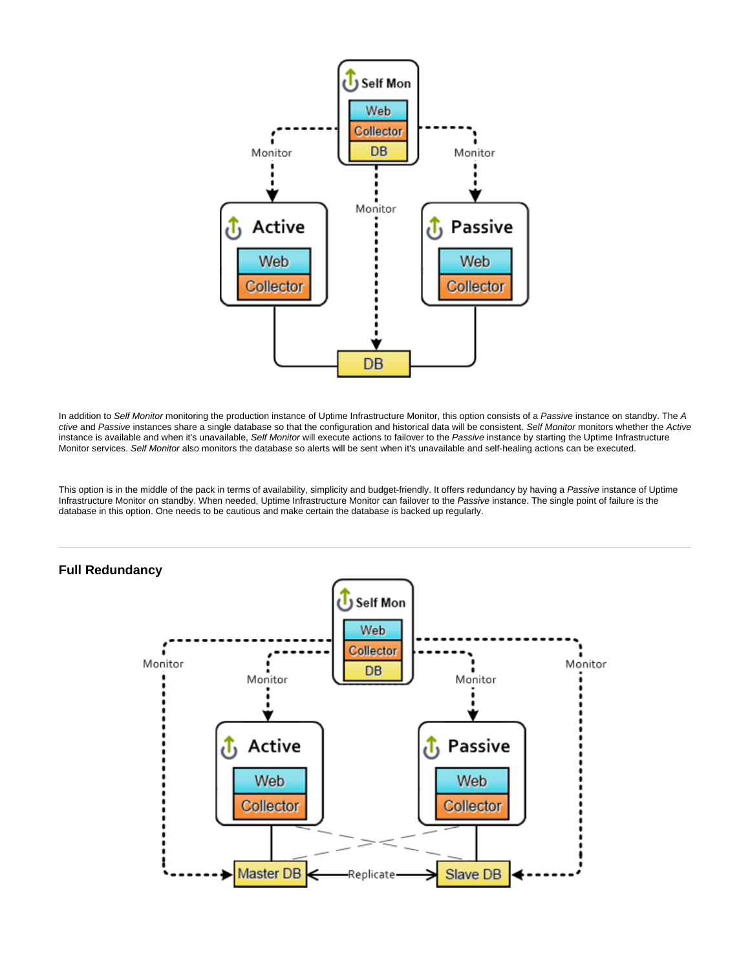

In addition to Self Monitor monitoring the production instance of Uptime Infrastructure Monitor, this option consists of a Passive instance on standby. The A ctive and Passive instances share a single database so that the configuration and historical data will be consistent. Self Monitor monitors whether the Active instance is available and when it's unavailable, Self Monitor will execute actions to failover to the Passive instance by starting the Uptime Infrastructure Monitor services. Self Monitor also monitors the database so alerts will be sent when it's unavailable and self-healing actions can be executed.

This option is in the middle of the pack in terms of availability, simplicity and budget-friendly. It offers redundancy by having a Passive instance of Uptime Infrastructure Monitor on standby. When needed, Uptime Infrastructure Monitor can failover to the Passive instance. The single point of failure is the database in this option. One needs to be cautious and make certain the database is backed up regularly.



### <span id="page-1-0"></span>**Full Redundancy**